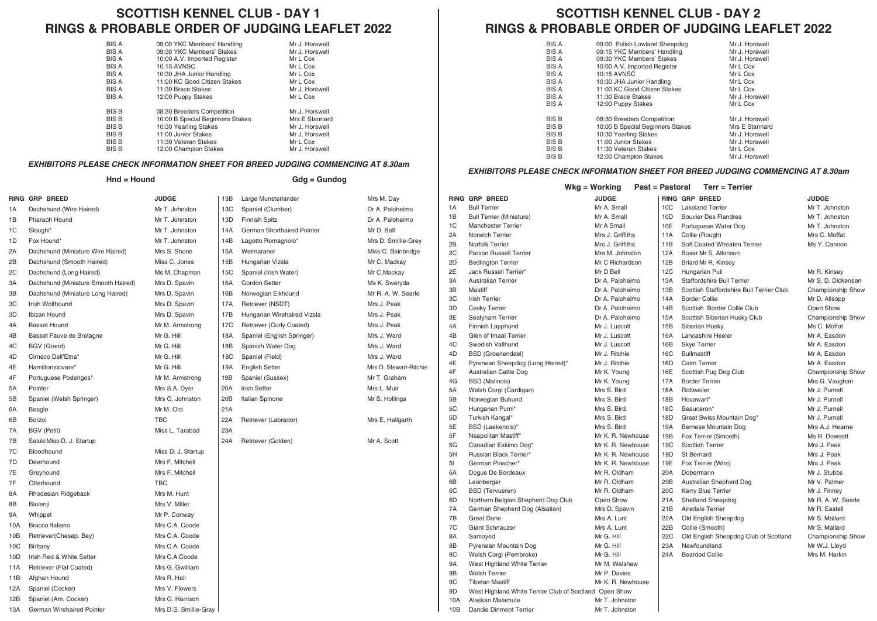## **SCOTTISH KENNEL CLUB - DAY 1 RINGS & PROBABLE ORDER OF JUDGING LEAFLET 2022**

| 09:00 YKC Members' Handling      | Mr J. Horswell |
|----------------------------------|----------------|
| 09:30 YKC Members' Stakes        | Mr J. Horswell |
| 10:00 A.V. Imported Register     | Mr L Cox       |
| <b>10.15 AVNSC</b>               | Mr L Cox       |
| 10:30 JHA Junior Handling        | Mr L Cox       |
| 11:00 KC Good Citizen Stakes     | Mr L Cox       |
| 11:30 Brace Stakes               | Mr J. Horswell |
| 12:00 Puppy Stakes               | Mr L Cox       |
| 08:30 Breeders Competition       | Mr J. Horswell |
| 10:00 B Special Beginners Stakes | Mrs E Stannard |
| 10:30 Yearling Stakes            | Mr J. Horswell |
| 11:00 Junior Stakes              | Mr J. Horswell |
| 11:30 Veteran Stakes             | Mr L Cox       |
| 12:00 Champion Stakes            | Mr J. Horswell |
|                                  |                |

#### *EXHIBITORS PLEASE CHECK INFORMATION SHEET FOR BREED JUDGING COMMENCING AT 8.30am*

|     | Hnd = Hound                         |                    |     | Gdg = Gundog                |                      |  |  |
|-----|-------------------------------------|--------------------|-----|-----------------------------|----------------------|--|--|
|     | RING GRP BREED                      | <b>JUDGE</b>       | 13B | Large Munsterlander         | Mrs M. Day           |  |  |
| 1A  | Dachshund (Wire Haired)             | Mr T. Johnston     | 13C | Spaniel (Clumber)           | Dr A. Paloheimo      |  |  |
| 1B  | Pharaoh Hound                       | Mr T. Johnston     | 13D | <b>Finnish Spitz</b>        | Dr A. Paloheimo      |  |  |
| 1C  | Sloughi*                            | Mr T. Johnston     | 14A | German Shorthaired Pointer  | Mr D. Bell           |  |  |
| 1D  | Fox Hound*                          | Mr T. Johnston     | 14B | Lagotto Romagnolo*          | Mrs D. Smillie-Grey  |  |  |
| 2A  | Dachshund (Miniature Wire Haired)   | Mrs S. Shone       | 15A | Weimaraner                  | Miss C. Bainbridge   |  |  |
| 2В  | Dachshund (Smooth Haired)           | Miss C. Jones      | 15B | Hungarian Vizsla            | Mr C. Mackay         |  |  |
| 2С  | Dachshund (Long Haired)             | Ms M. Chapman      | 15C | Spaniel (Irish Water)       | Mr C.Mackay          |  |  |
| ЗΑ  | Dachshund (Miniature Smooth Haired) | Mrs D. Spavin      | 16A | Gordon Setter               | Ms K. Sweryda        |  |  |
| ЗB  | Dachshund (Miniature Long Haired)   | Mrs D. Spavin      | 16B | Norwegian Elkhound          | Mr R. A. W. Searle   |  |  |
| зс  | Irish Wolfhound                     | Mrs D. Spavin      | 17A | Retriever (NSDT)            | Mrs J. Peak          |  |  |
| ЗD  | Ibizan Hound                        | Mrs D. Spavin      | 17B | Hungarian Wirehaired Vizsla | Mrs J. Peak          |  |  |
| 4Α  | <b>Basset Hound</b>                 | Mr M. Armstrong    | 17C | Retriever (Curly Coated)    | Mrs J. Peak          |  |  |
| 4В  | Basset Fauve de Bretagne            | Mr G. Hill         | 18A | Spaniel (English Springer)  | Mrs J. Ward          |  |  |
| 4C  | BGV (Grand)                         | Mr G. Hill         | 18B | Spanish Water Dog           | Mrs J. Ward          |  |  |
| 4D  | Cirneco Dell'Etna*                  | Mr G. Hill         | 18C | Spaniel (Field)             | Mrs J. Ward          |  |  |
| 4Ε  | Hamiltonstovare*                    | Mr G. Hill         | 19A | <b>English Setter</b>       | Mrs D. Stewart-Ritch |  |  |
| 4F  | Portuguese Podengos*                | Mr M. Armstrong    | 19B | Spaniel (Sussex)            | Mr T. Graham         |  |  |
| 5А  | Pointer                             | Mrs S.A. Dyer      | 20A | <b>Irish Setter</b>         | Mrs L. Muir          |  |  |
| 5В  | Spaniel (Welsh Springer)            | Mrs G. Johnston    | 20B | Italian Spinone             | Mr S. Hollings       |  |  |
| 6A  | Beagle                              | Mr M. Ord          | 21A |                             |                      |  |  |
| 6B  | Borzoi                              | <b>TBC</b>         | 22A | Retriever (Labrador)        | Mrs E. Hallgarth     |  |  |
| 7A  | BGV (Petit)                         | Miss L. Tarabad    | 23A |                             |                      |  |  |
| 7В  | Saluki Miss D. J. Startup           |                    | 24A | Retriever (Golden)          | Mr A. Scott          |  |  |
| 7C  | Bloodhound                          | Miss D. J. Startup |     |                             |                      |  |  |
| 7D  | Deerhound                           | Mrs F. Mitchell    |     |                             |                      |  |  |
| 7Е  | Greyhound                           | Mrs F. Mitchell    |     |                             |                      |  |  |
| 7F  | Otterhound                          | <b>TBC</b>         |     |                             |                      |  |  |
| 8А  | Rhodesian Ridgeback                 | Mrs M. Hunt        |     |                             |                      |  |  |
| 8B  | Basenji                             | Mrs V. Miller      |     |                             |                      |  |  |
| 9Α  | Whippet                             | Mr P. Conway       |     |                             |                      |  |  |
| 10A | Bracco Italiano                     | Mrs C.A. Coode     |     |                             |                      |  |  |
| 10B | Retriever(Chesap. Bay)              | Mrs C.A. Coode     |     |                             |                      |  |  |
| 10C | Brittany                            | Mrs C.A. Coode     |     |                             |                      |  |  |
| 10D | Irish Red & White Setter            | Mrs C.A.Coode      |     |                             |                      |  |  |
| 11A | Retriever (Flat Coated)             | Mrs G. Gwilliam    |     |                             |                      |  |  |
| 11B | Afghan Hound                        | Mrs R. Hall        |     |                             |                      |  |  |

12A Spaniel (Cocker) Mrs V. Flowers 12B Spaniel (Am. Cocker) Mrs G. Harrison 13A German Wirehaired Pointer Mrs D.S. Smillie-Gray

# **SCOTTISH KENNEL CLUB - DAY 2 RINGS & PROBABLE ORDER OF JUDGING LEAFLET 2022**

| BIS A        | 09:00 Polish Lowland Sheepdog    | Mr J. Horswell |
|--------------|----------------------------------|----------------|
| <b>BIS A</b> | 09:15 YKC Members' Handling      | Mr J. Horswell |
| <b>BIS A</b> | 09:30 YKC Members' Stakes        | Mr J. Horswell |
| <b>BIS A</b> | 10:00 A.V. Imported Register     | Mr L Cox       |
| <b>BIS A</b> | 10:15 AVNSC                      | Mr L Cox       |
| <b>BIS A</b> | 10:30 JHA Junior Handling        | Mr L Cox       |
| <b>BIS A</b> | 11:00 KC Good Citizen Stakes     | Mr L Cox       |
| <b>BIS A</b> | 11:30 Brace Stakes               | Mr J. Horswell |
| <b>BIS A</b> | 12:00 Puppy Stakes               | Mr L Cox       |
| <b>BIS B</b> | 08:30 Breeders Competition       | Mr J. Horswell |
| <b>BIS B</b> | 10:00 B Special Beginners Stakes | Mrs E Stannard |
| <b>BIS B</b> | 10:30 Yearling Stakes            | Mr J. Horswell |
| <b>BIS B</b> | 11:00 Junior Stakes              | Mr J. Horswell |
| <b>BIS B</b> | 11:30 Veteran Stakes             | Mr L Cox       |
| <b>BIS B</b> | 12:00 Champion Stakes            | Mr J. Horswell |
|              |                                  |                |

#### *EXHIBITORS PLEASE CHECK INFORMATION SHEET FOR BREED JUDGING COMMENCING AT 8.30am*

|    | Terr = Terrier<br>$Wkg = Working$<br>Past = Pastoral |                                                        |                   |                 |                                          |                    |
|----|------------------------------------------------------|--------------------------------------------------------|-------------------|-----------------|------------------------------------------|--------------------|
|    |                                                      | <b>RING GRP BREED</b>                                  | <b>JUDGE</b>      |                 | <b>RING GRP BREED</b>                    | <b>JUDGE</b>       |
|    | 1A                                                   | <b>Bull Terrier</b>                                    | Mr A. Small       | 10C             | <b>Lakeland Terrier</b>                  | Mr T. Johnston     |
|    | 1B                                                   | <b>Bull Terrier (Miniature)</b>                        | Mr A. Small       | 10D             | <b>Bouvier Des Flandres</b>              | Mr T. Johnston     |
|    | 1 <sup>C</sup>                                       | <b>Manchester Terrier</b>                              | Mr A Small        | 10E             | Portuguese Water Dog                     | Mr T. Johnston     |
|    | 2A                                                   | Norwich Terrier                                        | Mrs J. Griffiths  | 11A             | Collie (Rough)                           | Mrs C. Moffat      |
|    | 2B                                                   | Norfolk Terrier                                        | Mrs J. Griffiths  | 11B             | Soft Coated Wheaten Terrier              | Ms Y. Cannon       |
|    | 2C                                                   | Parson Russell Terrier                                 | Mrs M. Johnston   | 12A             | Boxer Mr S. Atkinson                     |                    |
|    | 2D                                                   | <b>Bedlington Terrier</b>                              | Mr C Richardson   | 12B             | Briard Mr R. Kinsey                      |                    |
|    | 2E                                                   | Jack Russell Terrier*                                  | Mr D Bell         | 12C             | Hungarian Puli                           | Mr R. Kinsey       |
|    | 3A                                                   | <b>Australian Terrier</b>                              | Dr A. Paloheimo   | 13A             | Staffordshire Bull Terrier               | Mr S. D. Dickensen |
|    | 3B                                                   | Mastiff                                                | Dr A. Paloheimo   | 13B             | Scottish Staffordshire Bull Terrier Club | Championship Show  |
|    | 3C                                                   | <b>Irish Terrier</b>                                   | Dr A. Paloheimo   | 14A             | <b>Border Collie</b>                     | Mr D. Allsopp      |
|    | 3D                                                   | Cesky Terrier                                          | Dr A. Paloheimo   | 14B             | Scottish Border Collie Club              | Open Show          |
|    | 3E                                                   | Sealyham Terrier                                       | Dr A. Paloheimo   | 15A             | Scottish Siberian Husky Club             | Championship Show  |
|    | 4A                                                   | Finnish Lapphund                                       | Mr J. Luscott     | 15B             | Siberian Husky                           | Ms C. Moffat       |
|    | 4B                                                   | Glen of Imaal Terrier                                  | Mr J. Luscott     | 16A             | Lancashire Heeler                        | Mr A. Easdon       |
|    | 4C                                                   | Swedish Vallhund                                       | Mr J. Luscott     | 16B             | Skye Terrier                             | Mr A. Easdon       |
|    | 4D                                                   | <b>BSD</b> (Groenendael)                               | Mr J. Ritchie     | 16C             | <b>Bullmastiff</b>                       | Mr A. Easdon       |
| ie | 4E                                                   | Pyrenean Sheepdog (Long Haired)*                       | Mr J. Ritchie     | 16D             | <b>Cairn Terrier</b>                     | Mr A. Easdon       |
|    | 4F                                                   | Australian Cattle Dog                                  | Mr K. Young       | 16E             | Scottish Pug Dog Club                    | Championship Show  |
|    | 4G                                                   | <b>BSD</b> (Malinois)                                  | Mr K. Young       | 17A             | <b>Border Terrier</b>                    | Mrs G. Vaughan     |
|    | 5A                                                   | Welsh Corgi (Cardigan)                                 | Mrs S. Bird       | 18A             | Rottweiler                               | Mr J. Purnell      |
|    | 5B                                                   | Norwegian Buhund                                       | Mrs S. Bird       | 18 <sub>B</sub> | Hovawart*                                | Mr J. Purnell      |
|    | 5C                                                   | Hungarian Pumi*                                        | Mrs S. Bird       | 18C             | Beauceron*                               | Mr J. Purnell      |
|    | 5D                                                   | Turkish Kangal*                                        | Mrs S. Bird       | 18D             | Great Swiss Mountain Dog*                | Mr J. Purnell      |
|    | 5E                                                   | BSD (Laekenois)*                                       | Mrs S. Bird       | 19A             | Bernese Mountain Dog                     | Mrs A.J. Hearne    |
|    | 5F                                                   | Neapolitan Mastiff*                                    | Mr K. R. Newhouse | 19B             | Fox Terrier (Smooth)                     | Ms R. Dowsett      |
|    | 5G                                                   | Canadian Eskimo Dog*                                   | Mr K. R. Newhouse | 19C             | <b>Scottish Terrier</b>                  | Mrs J. Peak        |
|    | 5H                                                   | Russian Black Terrier*                                 | Mr K. R. Newhouse | 19D             | St Bernard                               | Mrs J. Peak        |
|    | 51                                                   | German Pinscher*                                       | Mr K. R. Newhouse | 19E             | Fox Terrier (Wire)                       | Mrs J. Peak        |
|    | 6A                                                   | Dogue De Bordeaux                                      | Mr R. Oldham      | 20A             | Dobermann                                | Mr J. Stubbs       |
|    | 6B                                                   | Leonberger                                             | Mr R. Oldham      | 20B             | Australian Shepherd Dog                  | Mr V. Palmer       |
|    | 6C                                                   | <b>BSD</b> (Tervueren)                                 | Mr R. Oldham      | 20C             | Kerry Blue Terrier                       | Mr J. Finney       |
|    | 6D                                                   | Northern Belgian Shepherd Dog Club                     | Open Show         | 21A             | Shetland Sheepdog                        | Mr R. A. W. Searle |
|    | 7A                                                   | German Shepherd Dog (Alsatian)                         | Mrs D. Spavin     | 21B             | Airedale Terrier                         | Mr R. Eastell      |
|    | 7B                                                   | <b>Great Dane</b>                                      | Mrs A. Lunt       | 22A             | Old English Sheepdog                     | Mr S. Mallard      |
|    | 7C                                                   | <b>Giant Schnauzer</b>                                 | Mrs A. Lunt       | 22B             | Collie (Smooth)                          | Mr S. Mallard      |
|    | 8A                                                   | Samoyed                                                | Mr G. Hill        | 22C             | Old English Sheepdog Club of Scotland    | Championship Show  |
|    | 8B                                                   | Pyrenean Mountain Dog                                  | Mr G. Hill        | 23A             | Newfoundland                             | Mr W.J. Lloyd      |
|    | 8C                                                   | Welsh Corgi (Pembroke)                                 | Mr G. Hill        | 24A             | <b>Bearded Collie</b>                    | Mrs M. Harkin      |
|    | 9A                                                   | West Highland White Terrier                            | Mr M. Walshaw     |                 |                                          |                    |
|    | 9B                                                   | <b>Welsh Terrier</b>                                   | Mr P. Davies      |                 |                                          |                    |
|    | 9C                                                   | <b>Tibetan Mastiff</b>                                 | Mr K. R. Newhouse |                 |                                          |                    |
|    | 9D                                                   | West Highland White Terrier Club of Scotland Open Show |                   |                 |                                          |                    |
|    | 10A                                                  | Alaskan Malamute                                       | Mr T. Johnston    |                 |                                          |                    |
|    | 10B                                                  | Dandie Dinmont Terrier                                 | Mr T. Johnston    |                 |                                          |                    |